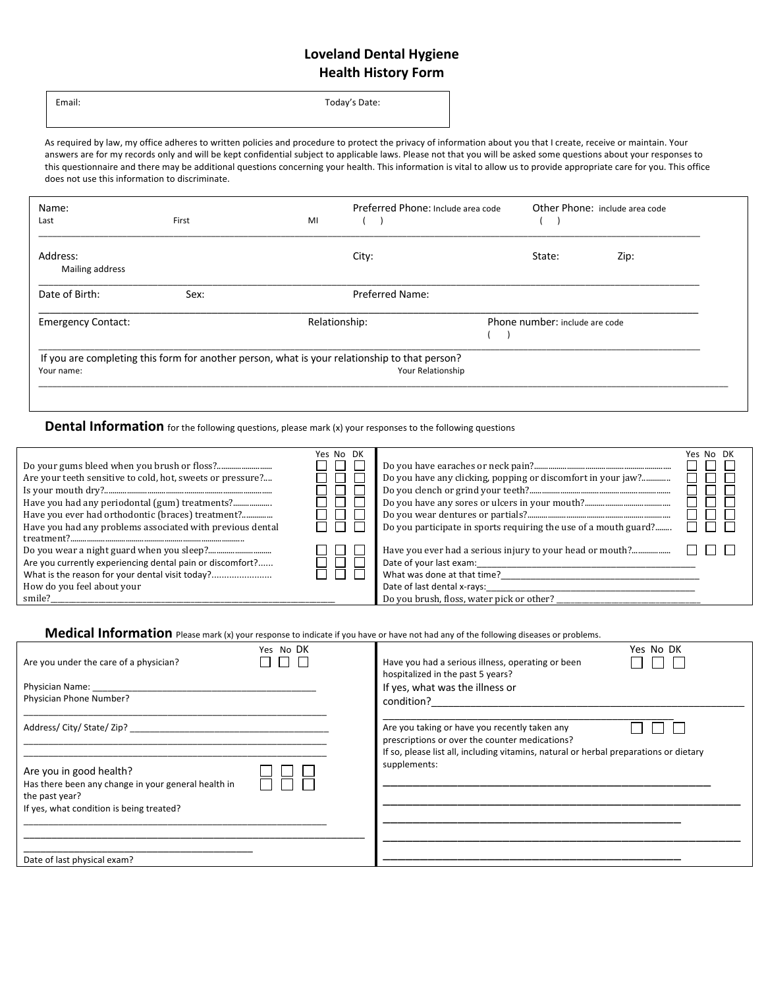## **Loveland Dental Hygiene Health History Form**

Email: Today's Date:

As required by law, my office adheres to written policies and procedure to protect the privacy of information about you that I create, receive or maintain. Your answers are for my records only and will be kept confidential subject to applicable laws. Please not that you will be asked some questions about your responses to this questionnaire and there may be additional questions concerning your health. This information is vital to allow us to provide appropriate care for you. This office does not use this information to discriminate.

| Name:<br>Last                                                                                                                    | First | MI            | Preferred Phone: Include area code |                                | Other Phone: include area code |  |  |
|----------------------------------------------------------------------------------------------------------------------------------|-------|---------------|------------------------------------|--------------------------------|--------------------------------|--|--|
| Address:<br>Mailing address                                                                                                      |       |               | City:                              | State:                         | Zip:                           |  |  |
| Date of Birth:                                                                                                                   | Sex:  |               | <b>Preferred Name:</b>             |                                |                                |  |  |
| <b>Emergency Contact:</b>                                                                                                        |       | Relationship: |                                    | Phone number: include are code |                                |  |  |
| If you are completing this form for another person, what is your relationship to that person?<br>Your Relationship<br>Your name: |       |               |                                    |                                |                                |  |  |
|                                                                                                                                  |       |               |                                    |                                |                                |  |  |

**Dental Information** for the following questions, please mark (x) your responses to the following questions

| Are your teeth sensitive to cold, hot, sweets or pressure?<br>Have you ever had orthodontic (braces) treatment?<br>Have you had any problems associated with previous dental | Yes No DK | Do you participate in sports requiring the use of a mouth guard?                                                                   | Yes No DK |
|------------------------------------------------------------------------------------------------------------------------------------------------------------------------------|-----------|------------------------------------------------------------------------------------------------------------------------------------|-----------|
| Are you currently experiencing dental pain or discomfort?<br>What is the reason for your dental visit today?<br>How do you feel about your<br>smile?                         |           | Date of your last exam:<br>What was done at that time?<br>Date of last dental x-rays:<br>Do you brush, floss, water pick or other? |           |

**Medical Information** Please mark (x) your response to indicate if you have or have not had any of the following diseases or problems.

| Are you under the care of a physician?                                                                                                       | Yes No DK | Yes No DK<br>Have you had a serious illness, operating or been<br>hospitalized in the past 5 years?                                                                                      |
|----------------------------------------------------------------------------------------------------------------------------------------------|-----------|------------------------------------------------------------------------------------------------------------------------------------------------------------------------------------------|
| Physician Name:<br>Physician Phone Number?                                                                                                   |           | If yes, what was the illness or<br>condition? The condition of the condition of the condition of the condition of the condition of the condition                                         |
|                                                                                                                                              |           | Are you taking or have you recently taken any<br>prescriptions or over the counter medications?<br>If so, please list all, including vitamins, natural or herbal preparations or dietary |
| Are you in good health?<br>Has there been any change in your general health in<br>the past year?<br>If yes, what condition is being treated? |           | supplements:                                                                                                                                                                             |
| Date of last physical exam?                                                                                                                  |           |                                                                                                                                                                                          |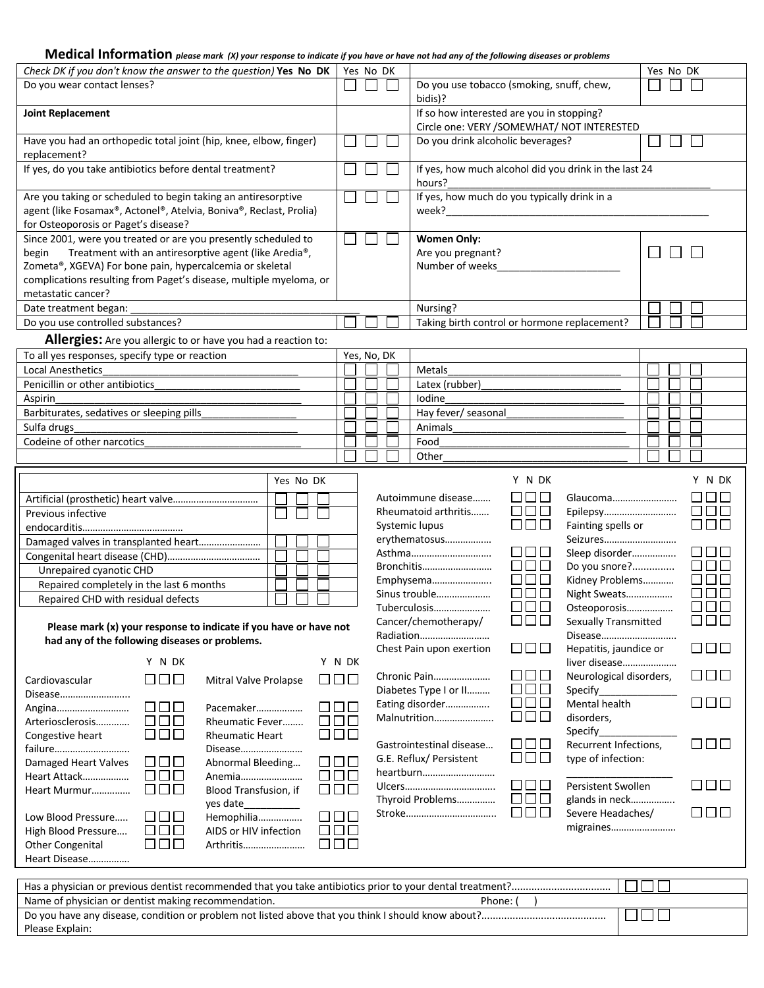## **Medical Information** *please mark (X) your response to indicate if you have or have not had any of the following diseases or problems*

| Check DK if you don't know the answer to the question) Yes No DK                                                                                                                                                                                                                         |        |  | Yes No DK   |  |                                                                 | Yes No DK                                                                                                                                                                                                                                                                                                                                                                                                                  |  |
|------------------------------------------------------------------------------------------------------------------------------------------------------------------------------------------------------------------------------------------------------------------------------------------|--------|--|-------------|--|-----------------------------------------------------------------|----------------------------------------------------------------------------------------------------------------------------------------------------------------------------------------------------------------------------------------------------------------------------------------------------------------------------------------------------------------------------------------------------------------------------|--|
| Do you wear contact lenses?                                                                                                                                                                                                                                                              |        |  |             |  |                                                                 | Do you use tobacco (smoking, snuff, chew,<br>bidis)?                                                                                                                                                                                                                                                                                                                                                                       |  |
| <b>Joint Replacement</b>                                                                                                                                                                                                                                                                 |        |  |             |  |                                                                 | If so how interested are you in stopping?<br>Circle one: VERY /SOMEWHAT/ NOT INTERESTED                                                                                                                                                                                                                                                                                                                                    |  |
| Have you had an orthopedic total joint (hip, knee, elbow, finger)<br>replacement?                                                                                                                                                                                                        |        |  |             |  |                                                                 | Do you drink alcoholic beverages?                                                                                                                                                                                                                                                                                                                                                                                          |  |
| If yes, do you take antibiotics before dental treatment?                                                                                                                                                                                                                                 |        |  |             |  | If yes, how much alcohol did you drink in the last 24<br>hours? |                                                                                                                                                                                                                                                                                                                                                                                                                            |  |
| Are you taking or scheduled to begin taking an antiresorptive<br>agent (like Fosamax®, Actonel®, Atelvia, Boniva®, Reclast, Prolia)<br>for Osteoporosis or Paget's disease?                                                                                                              |        |  |             |  |                                                                 | If yes, how much do you typically drink in a<br>week?                                                                                                                                                                                                                                                                                                                                                                      |  |
| Since 2001, were you treated or are you presently scheduled to<br>Treatment with an antiresorptive agent (like Aredia®,<br>begin<br>Zometa®, XGEVA) For bone pain, hypercalcemia or skeletal<br>complications resulting from Paget's disease, multiple myeloma, or<br>metastatic cancer? |        |  |             |  |                                                                 | <b>Women Only:</b><br>Are you pregnant?<br>Number of weeks                                                                                                                                                                                                                                                                                                                                                                 |  |
| Date treatment began:                                                                                                                                                                                                                                                                    |        |  |             |  |                                                                 | Nursing?                                                                                                                                                                                                                                                                                                                                                                                                                   |  |
| Do you use controlled substances?                                                                                                                                                                                                                                                        |        |  |             |  |                                                                 | Taking birth control or hormone replacement?                                                                                                                                                                                                                                                                                                                                                                               |  |
| Allergies: Are you allergic to or have you had a reaction to:                                                                                                                                                                                                                            |        |  |             |  |                                                                 |                                                                                                                                                                                                                                                                                                                                                                                                                            |  |
| To all yes responses, specify type or reaction                                                                                                                                                                                                                                           |        |  | Yes, No, DK |  |                                                                 |                                                                                                                                                                                                                                                                                                                                                                                                                            |  |
| <b>Local Anesthetics</b>                                                                                                                                                                                                                                                                 |        |  |             |  |                                                                 | Metals                                                                                                                                                                                                                                                                                                                                                                                                                     |  |
| Penicillin or other antibiotics                                                                                                                                                                                                                                                          |        |  |             |  |                                                                 | Latex (rubber)                                                                                                                                                                                                                                                                                                                                                                                                             |  |
| Aspirin                                                                                                                                                                                                                                                                                  |        |  |             |  |                                                                 | Iodine                                                                                                                                                                                                                                                                                                                                                                                                                     |  |
| Barbiturates, sedatives or sleeping pills                                                                                                                                                                                                                                                |        |  |             |  |                                                                 | Hay fever/ seasonal                                                                                                                                                                                                                                                                                                                                                                                                        |  |
| Sulfa drugs                                                                                                                                                                                                                                                                              |        |  |             |  |                                                                 | Animals                                                                                                                                                                                                                                                                                                                                                                                                                    |  |
| Codeine of other narcotics                                                                                                                                                                                                                                                               |        |  |             |  |                                                                 | Food                                                                                                                                                                                                                                                                                                                                                                                                                       |  |
|                                                                                                                                                                                                                                                                                          |        |  |             |  |                                                                 | Other                                                                                                                                                                                                                                                                                                                                                                                                                      |  |
| Yes No DK                                                                                                                                                                                                                                                                                |        |  |             |  |                                                                 | Y N DK<br>Y N DK                                                                                                                                                                                                                                                                                                                                                                                                           |  |
| Previous infective<br>Damaged valves in transplanted heart<br>Unrepaired cyanotic CHD<br>Repaired completely in the last 6 months                                                                                                                                                        |        |  |             |  |                                                                 | 88 E S<br><b>LILIL</b><br>Autoimmune disease<br>Glaucoma<br>888<br>88 88 8<br>Rheumatoid arthritis<br>Epilepsy<br>$\Box\,\Box\,\Box$<br>000<br>Fainting spells or<br>Systemic lupus<br>erythematosus<br>Seizures<br>8888<br><b>THE RE</b><br>Sleep disorder<br>Asthma<br>$\square \square \square$<br>$\Box$ $\Box$ $\Box$<br>Bronchitis<br>Do you snore?<br>88 88<br>$\Box$ $\Box$ $\Box$<br>Kidney Problems<br>Emphysema |  |
| Repaired CHD with residual defects                                                                                                                                                                                                                                                       |        |  |             |  |                                                                 | $\square$ $\square$ $\square$<br>nnn<br>Sinus trouble<br>Night Sweats                                                                                                                                                                                                                                                                                                                                                      |  |
| Please mark (x) your response to indicate if you have or have not                                                                                                                                                                                                                        |        |  |             |  |                                                                 | $\Box$ $\Box$ $\Box$<br>N N N<br>Tuberculosis<br>Osteoporosis<br>$\Box$ $\Box$ $\Box$<br>$\square \square \square$<br>Sexually Transmitted<br>Cancer/chemotherapy/                                                                                                                                                                                                                                                         |  |
| had any of the following diseases or problems.                                                                                                                                                                                                                                           |        |  |             |  |                                                                 | Radiation<br>Disease<br>$\Box\,\Box\,\Box$<br>88 88 8<br>Chest Pain upon exertion<br>Hepatitis, jaundice or                                                                                                                                                                                                                                                                                                                |  |
| Y N DK<br>000<br>$\Box$<br>Cardiovascular<br>Mitral Valve Prolapse                                                                                                                                                                                                                       | Y N DK |  |             |  |                                                                 | liver disease<br>000<br>88 88<br>Chronic Pain<br>Neurological disorders,                                                                                                                                                                                                                                                                                                                                                   |  |
| Disease<br>$\Box$ $\Box$ $\Box$<br>$\Box$<br>Pacemaker<br>Angina<br>$\Box \Box \Box$<br>$\Box$ $\Box$ $\Box$<br>Arteriosclerosis<br>Rheumatic Fever                                                                                                                                      |        |  |             |  |                                                                 | $\Box$ $\Box$ $\Box$<br>Diabetes Type I or II<br>Specify_<br>$\Box \, \Box \, \Box$<br>000<br>Eating disorder<br>Mental health<br>$\Box$ $\Box$ $\Box$<br>Malnutrition<br>disorders,                                                                                                                                                                                                                                       |  |
| $\Box$ $\Box$ $\Box$<br>000<br><b>Rheumatic Heart</b><br>Congestive heart<br>failure<br>Disease<br>000<br>பபட<br>Damaged Heart Valves<br>Abnormal Bleeding                                                                                                                               |        |  |             |  |                                                                 | Specify<br>$\Box$<br>88 88 8<br>Gastrointestinal disease<br>Recurrent Infections,<br>000<br>G.E. Reflux/ Persistent<br>type of infection:<br>heartburn                                                                                                                                                                                                                                                                     |  |
| $\Box$ $\Box$ $\Box$<br>$\Box$ $\Box$ $\Box$<br>Heart Attack<br>Anemia<br>$\Box$<br>$\Box$ $\Box$ $\Box$<br>Blood Transfusion, if<br>Heart Murmur<br>yes date                                                                                                                            |        |  |             |  |                                                                 | 000<br>000<br><b>Persistent Swollen</b><br>$\Box$<br>Thyroid Problems<br>glands in neck                                                                                                                                                                                                                                                                                                                                    |  |
| $\Box$ $\Box$ $\Box$<br>8 E G<br>Hemophilia<br>Low Blood Pressure<br>$\Box$<br>$\Box$ $\Box$ $\Box$<br>High Blood Pressure<br>AIDS or HIV infection<br>000<br>$\Box$ $\Box$ $\Box$<br>Other Congenital<br>Arthritis<br>Heart Disease                                                     |        |  |             |  |                                                                 | 000<br>888<br>Severe Headaches/<br>migraines                                                                                                                                                                                                                                                                                                                                                                               |  |
|                                                                                                                                                                                                                                                                                          |        |  |             |  |                                                                 |                                                                                                                                                                                                                                                                                                                                                                                                                            |  |

| Name of physician or dentist making recommendation.                                                | Phone: |  |
|----------------------------------------------------------------------------------------------------|--------|--|
| Do you have any disease, condition or problem not listed above that you think I should know about? |        |  |
| Please Explain:                                                                                    |        |  |